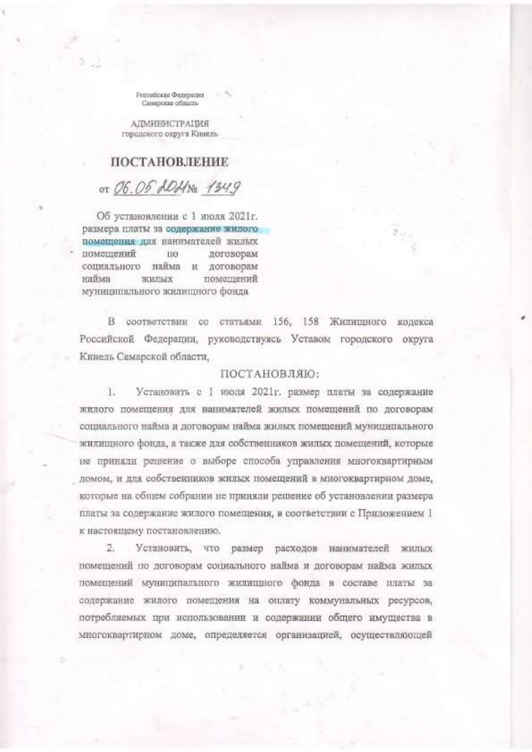Российская Федерация Cassanoras ofinarra-

АЛМИНИСТРАЦИЯ городского округа Кинель

## ПОСТАНОВЛЕНИЕ

от 06.05 ADHN2 1349

Об установлении с 1 июля 2021г. размера платы за содержание жилого помещения для нанимателей жилых помещений ПО договорам социального найма и договорам найма жилых помещений муниципального жилищного фонда

В соответствии со статьями 156, 158 Жилишного кодекса Российской Федерации, руководствуясь Уставом городского округа Кинель Самарской области,

## ПОСТАНОВЛЯЮ:

 $1.$ Установить с 1 июля 2021г. размер платы за содержание жилого помещения для нанимателей жилых помещений по договорам социального найма и договорам найма жилых помещений муниципального жилищного фонда, а также для собственников жилых помещений, которые не приняли решение о выборе способа управления многоквартирным домом, и для собственников жилых помещений в многоквартирном доме, которые на общем собрании не приняли решение об установлении размера платы за содержание жилого помещения, в соответствии с Приложением 1 к настоящему постановлению.

2. Установить, что размер расходов нанимателей жилых помещений по договорам социального найма и договорам найма жилых помещений муниципального жилищного фонда в составе платы за содержание жилого помещения на оплату коммунальных ресурсов, потребляемых при использовании и содержании общего имущества в многоквартирном доме, определяется организацией, осуществляющей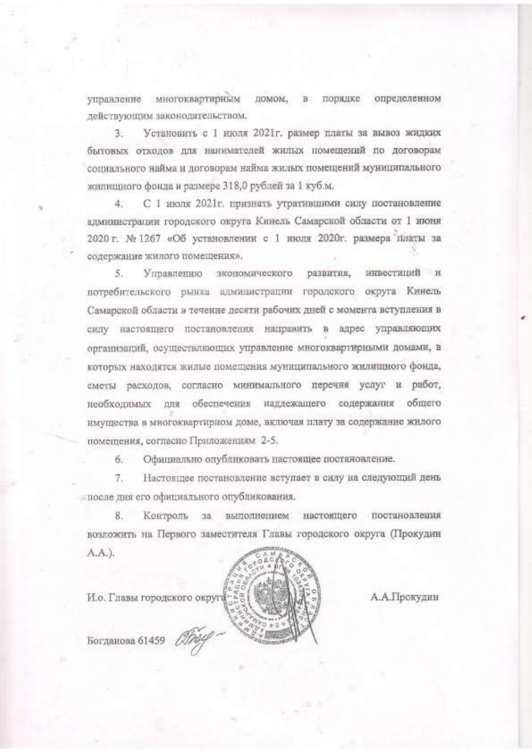управление многоквартирным домом, в порядке определенном действующим законодательством.

Установить с 1 июля 2021г. размер платы за вывоз жидких З. бытовых отходов для наинмателей жилых номещений по договорам социального найма и договорам найма жилых помещений муниципального жилищного фонда и размере 318,0 рублей за 1 куб.м.

С 1 июля 2021г. признать утратившими силу постановление  $\Lambda$ алминистрации городского округа Кинель Самарской области от 1 июня 2020 г. № 1267 «Об установлении с 1 июля 2020г. размера платы за содержание жилого помещения».

Управлению экономического развития, инвестиций и  $5$ потребительского рынка администрации городского округа Кинель Самарской области в течение десяти рабочих дней с момента вступления в силу настоящего постановления направить в адрес управляющих организаций, осуществляющих управление многоквартирными домами, в которых находятся жилые помещения муниципального жилищного фонда, сметы расходов, согласно минимального перечня услуг и работ, необходимых для обеспечения надлежащего содержания общего имущества в многоквартирном доме, включая плату за содержание жилого помещения, согласно Приложениям 2-5.

 $6 -$ Официально опубликовать настоящее постановление.

Настоящее постановление вступает в силу на следующий день  $7.$ после дня его официального опубликования.

Контроль за выполнением настоящего постановления 8. возложить на Первого заместителя Главы городского округа (Прокудин A.A.).

И.о. Главы городского округа

А.А.Прокудин

Богданова 61459